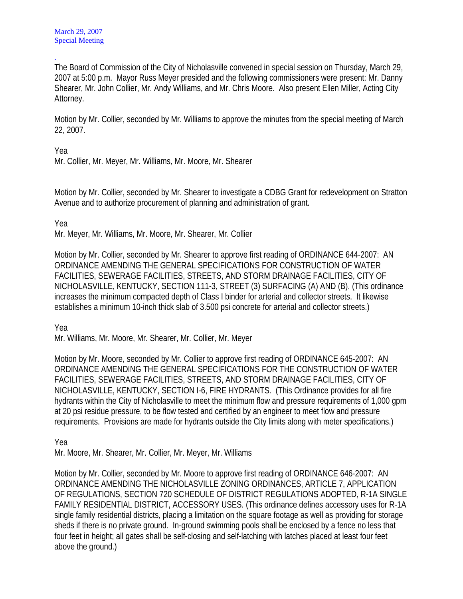. The Board of Commission of the City of Nicholasville convened in special session on Thursday, March 29, 2007 at 5:00 p.m. Mayor Russ Meyer presided and the following commissioners were present: Mr. Danny Shearer, Mr. John Collier, Mr. Andy Williams, and Mr. Chris Moore. Also present Ellen Miller, Acting City Attorney.

Motion by Mr. Collier, seconded by Mr. Williams to approve the minutes from the special meeting of March 22, 2007.

Yea

Mr. Collier, Mr. Meyer, Mr. Williams, Mr. Moore, Mr. Shearer

Motion by Mr. Collier, seconded by Mr. Shearer to investigate a CDBG Grant for redevelopment on Stratton Avenue and to authorize procurement of planning and administration of grant.

Yea

Mr. Meyer, Mr. Williams, Mr. Moore, Mr. Shearer, Mr. Collier

Motion by Mr. Collier, seconded by Mr. Shearer to approve first reading of ORDINANCE 644-2007: AN ORDINANCE AMENDING THE GENERAL SPECIFICATIONS FOR CONSTRUCTION OF WATER FACILITIES, SEWERAGE FACILITIES, STREETS, AND STORM DRAINAGE FACILITIES, CITY OF NICHOLASVILLE, KENTUCKY, SECTION 111-3, STREET (3) SURFACING (A) AND (B). (This ordinance increases the minimum compacted depth of Class I binder for arterial and collector streets. It likewise establishes a minimum 10-inch thick slab of 3.500 psi concrete for arterial and collector streets.)

Yea

Mr. Williams, Mr. Moore, Mr. Shearer, Mr. Collier, Mr. Meyer

Motion by Mr. Moore, seconded by Mr. Collier to approve first reading of ORDINANCE 645-2007: AN ORDINANCE AMENDING THE GENERAL SPECIFICATIONS FOR THE CONSTRUCTION OF WATER FACILITIES, SEWERAGE FACILITIES, STREETS, AND STORM DRAINAGE FACILITIES, CITY OF NICHOLASVILLE, KENTUCKY, SECTION I-6, FIRE HYDRANTS. (This Ordinance provides for all fire hydrants within the City of Nicholasville to meet the minimum flow and pressure requirements of 1,000 gpm at 20 psi residue pressure, to be flow tested and certified by an engineer to meet flow and pressure requirements. Provisions are made for hydrants outside the City limits along with meter specifications.)

Yea

Mr. Moore, Mr. Shearer, Mr. Collier, Mr. Meyer, Mr. Williams

Motion by Mr. Collier, seconded by Mr. Moore to approve first reading of ORDINANCE 646-2007: AN ORDINANCE AMENDING THE NICHOLASVILLE ZONING ORDINANCES, ARTICLE 7, APPLICATION OF REGULATIONS, SECTION 720 SCHEDULE OF DISTRICT REGULATIONS ADOPTED, R-1A SINGLE FAMILY RESIDENTIAL DISTRICT, ACCESSORY USES. (This ordinance defines accessory uses for R-1A single family residential districts, placing a limitation on the square footage as well as providing for storage sheds if there is no private ground. In-ground swimming pools shall be enclosed by a fence no less that four feet in height; all gates shall be self-closing and self-latching with latches placed at least four feet above the ground.)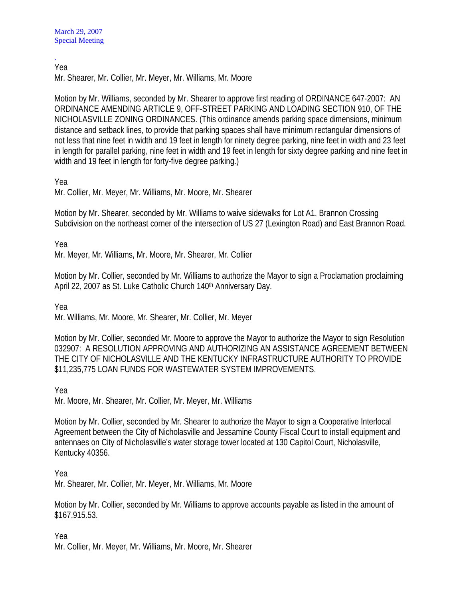. Yea

Mr. Shearer, Mr. Collier, Mr. Meyer, Mr. Williams, Mr. Moore

Motion by Mr. Williams, seconded by Mr. Shearer to approve first reading of ORDINANCE 647-2007: AN ORDINANCE AMENDING ARTICLE 9, OFF-STREET PARKING AND LOADING SECTION 910, OF THE NICHOLASVILLE ZONING ORDINANCES. (This ordinance amends parking space dimensions, minimum distance and setback lines, to provide that parking spaces shall have minimum rectangular dimensions of not less that nine feet in width and 19 feet in length for ninety degree parking, nine feet in width and 23 feet in length for parallel parking, nine feet in width and 19 feet in length for sixty degree parking and nine feet in width and 19 feet in length for forty-five degree parking.)

Yea

Mr. Collier, Mr. Meyer, Mr. Williams, Mr. Moore, Mr. Shearer

Motion by Mr. Shearer, seconded by Mr. Williams to waive sidewalks for Lot A1, Brannon Crossing Subdivision on the northeast corner of the intersection of US 27 (Lexington Road) and East Brannon Road.

Yea

Mr. Meyer, Mr. Williams, Mr. Moore, Mr. Shearer, Mr. Collier

Motion by Mr. Collier, seconded by Mr. Williams to authorize the Mayor to sign a Proclamation proclaiming April 22, 2007 as St. Luke Catholic Church 140<sup>th</sup> Anniversary Day.

Yea

Mr. Williams, Mr. Moore, Mr. Shearer, Mr. Collier, Mr. Meyer

Motion by Mr. Collier, seconded Mr. Moore to approve the Mayor to authorize the Mayor to sign Resolution 032907: A RESOLUTION APPROVING AND AUTHORIZING AN ASSISTANCE AGREEMENT BETWEEN THE CITY OF NICHOLASVILLE AND THE KENTUCKY INFRASTRUCTURE AUTHORITY TO PROVIDE \$11,235,775 LOAN FUNDS FOR WASTEWATER SYSTEM IMPROVEMENTS.

Yea

Mr. Moore, Mr. Shearer, Mr. Collier, Mr. Meyer, Mr. Williams

Motion by Mr. Collier, seconded by Mr. Shearer to authorize the Mayor to sign a Cooperative Interlocal Agreement between the City of Nicholasville and Jessamine County Fiscal Court to install equipment and antennaes on City of Nicholasville's water storage tower located at 130 Capitol Court, Nicholasville, Kentucky 40356.

Yea

Mr. Shearer, Mr. Collier, Mr. Meyer, Mr. Williams, Mr. Moore

Motion by Mr. Collier, seconded by Mr. Williams to approve accounts payable as listed in the amount of \$167,915.53.

Yea

Mr. Collier, Mr. Meyer, Mr. Williams, Mr. Moore, Mr. Shearer